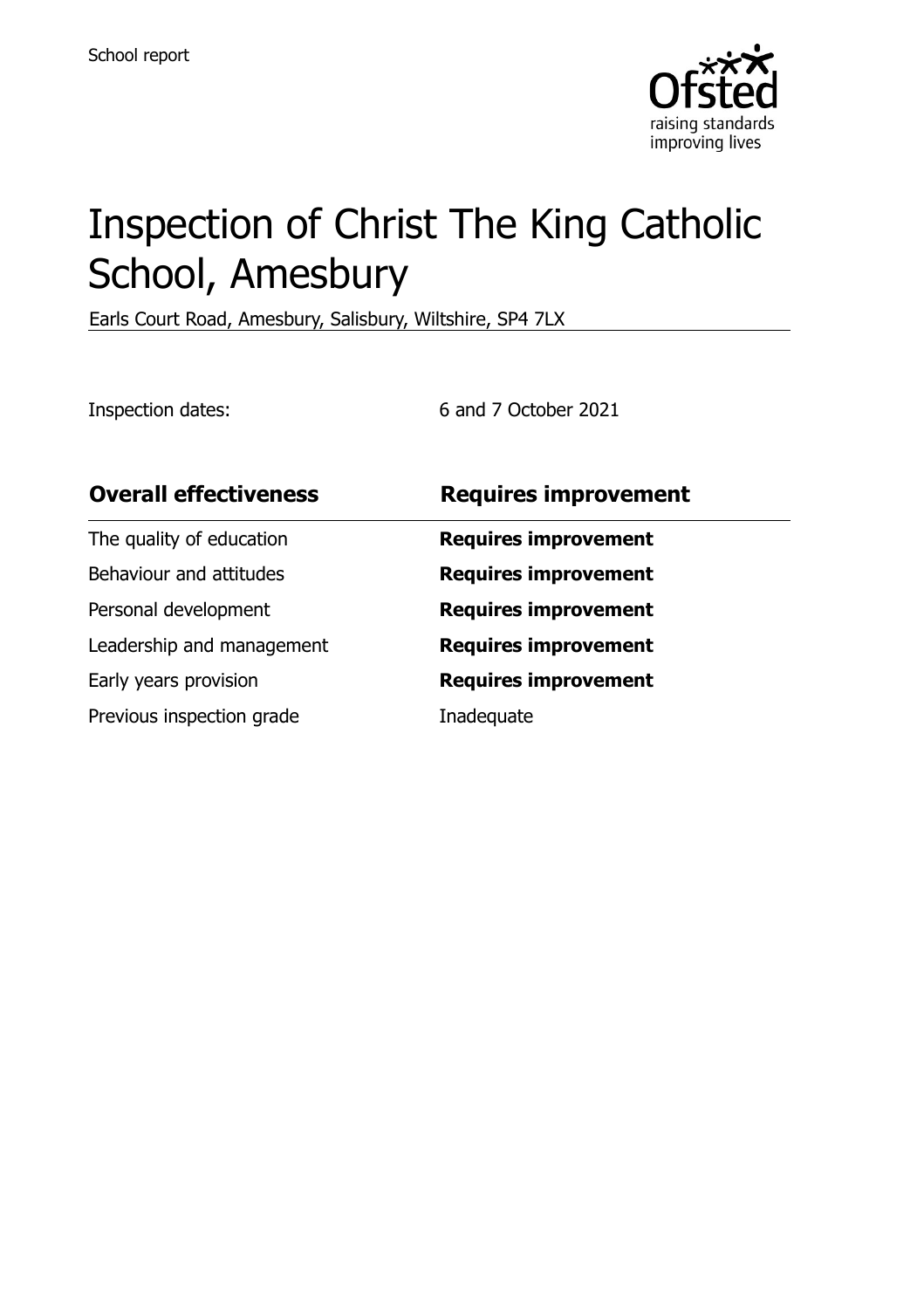

# Inspection of Christ The King Catholic School, Amesbury

Earls Court Road, Amesbury, Salisbury, Wiltshire, SP4 7LX

Inspection dates: 6 and 7 October 2021

| <b>Overall effectiveness</b> | <b>Requires improvement</b> |
|------------------------------|-----------------------------|
| The quality of education     | <b>Requires improvement</b> |
| Behaviour and attitudes      | <b>Requires improvement</b> |
| Personal development         | <b>Requires improvement</b> |
| Leadership and management    | <b>Requires improvement</b> |
| Early years provision        | <b>Requires improvement</b> |
| Previous inspection grade    | Inadequate                  |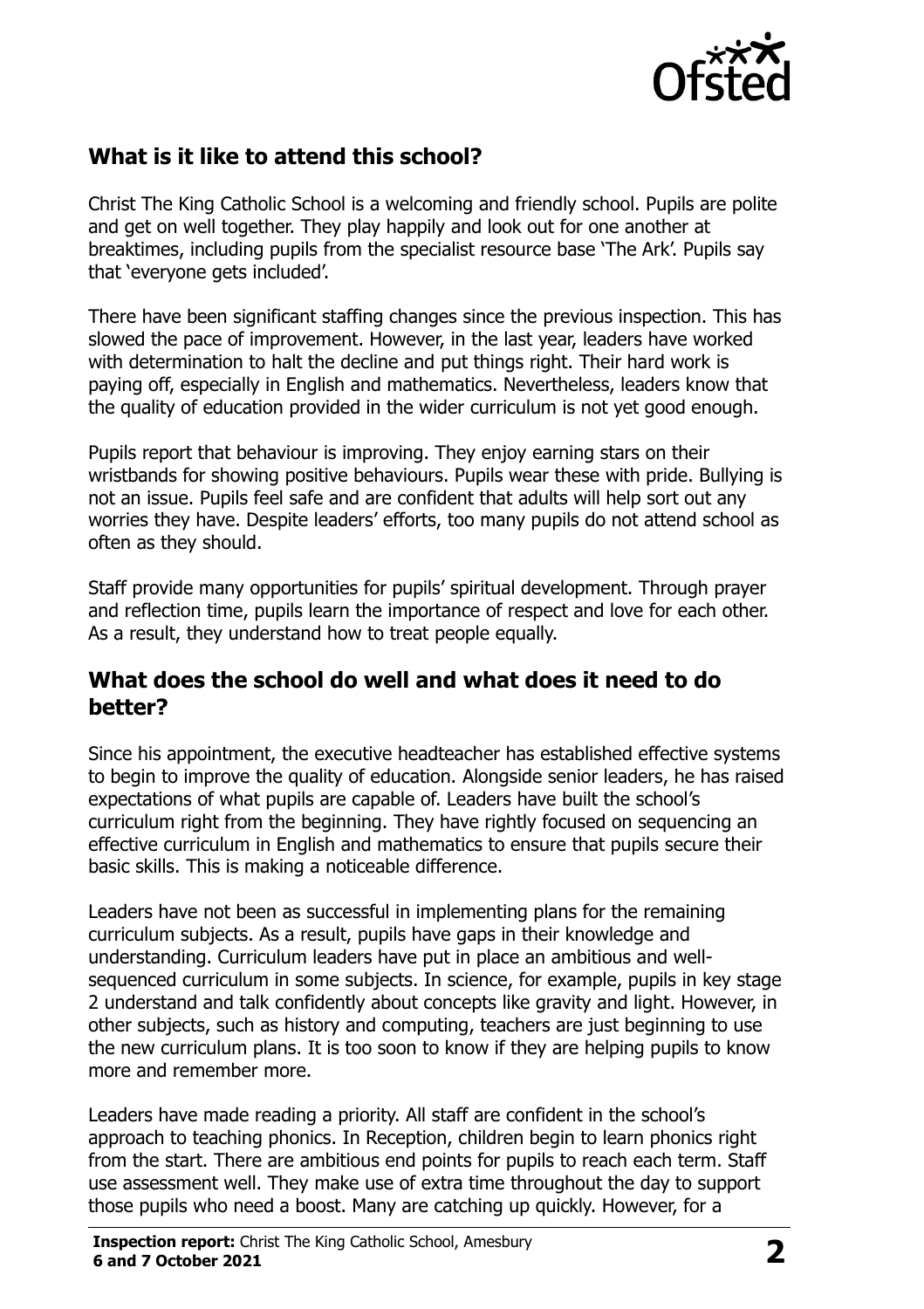

# **What is it like to attend this school?**

Christ The King Catholic School is a welcoming and friendly school. Pupils are polite and get on well together. They play happily and look out for one another at breaktimes, including pupils from the specialist resource base 'The Ark'. Pupils say that 'everyone gets included'.

There have been significant staffing changes since the previous inspection. This has slowed the pace of improvement. However, in the last year, leaders have worked with determination to halt the decline and put things right. Their hard work is paying off, especially in English and mathematics. Nevertheless, leaders know that the quality of education provided in the wider curriculum is not yet good enough.

Pupils report that behaviour is improving. They enjoy earning stars on their wristbands for showing positive behaviours. Pupils wear these with pride. Bullying is not an issue. Pupils feel safe and are confident that adults will help sort out any worries they have. Despite leaders' efforts, too many pupils do not attend school as often as they should.

Staff provide many opportunities for pupils' spiritual development. Through prayer and reflection time, pupils learn the importance of respect and love for each other. As a result, they understand how to treat people equally.

#### **What does the school do well and what does it need to do better?**

Since his appointment, the executive headteacher has established effective systems to begin to improve the quality of education. Alongside senior leaders, he has raised expectations of what pupils are capable of. Leaders have built the school's curriculum right from the beginning. They have rightly focused on sequencing an effective curriculum in English and mathematics to ensure that pupils secure their basic skills. This is making a noticeable difference.

Leaders have not been as successful in implementing plans for the remaining curriculum subjects. As a result, pupils have gaps in their knowledge and understanding. Curriculum leaders have put in place an ambitious and wellsequenced curriculum in some subjects. In science, for example, pupils in key stage 2 understand and talk confidently about concepts like gravity and light. However, in other subjects, such as history and computing, teachers are just beginning to use the new curriculum plans. It is too soon to know if they are helping pupils to know more and remember more.

Leaders have made reading a priority. All staff are confident in the school's approach to teaching phonics. In Reception, children begin to learn phonics right from the start. There are ambitious end points for pupils to reach each term. Staff use assessment well. They make use of extra time throughout the day to support those pupils who need a boost. Many are catching up quickly. However, for a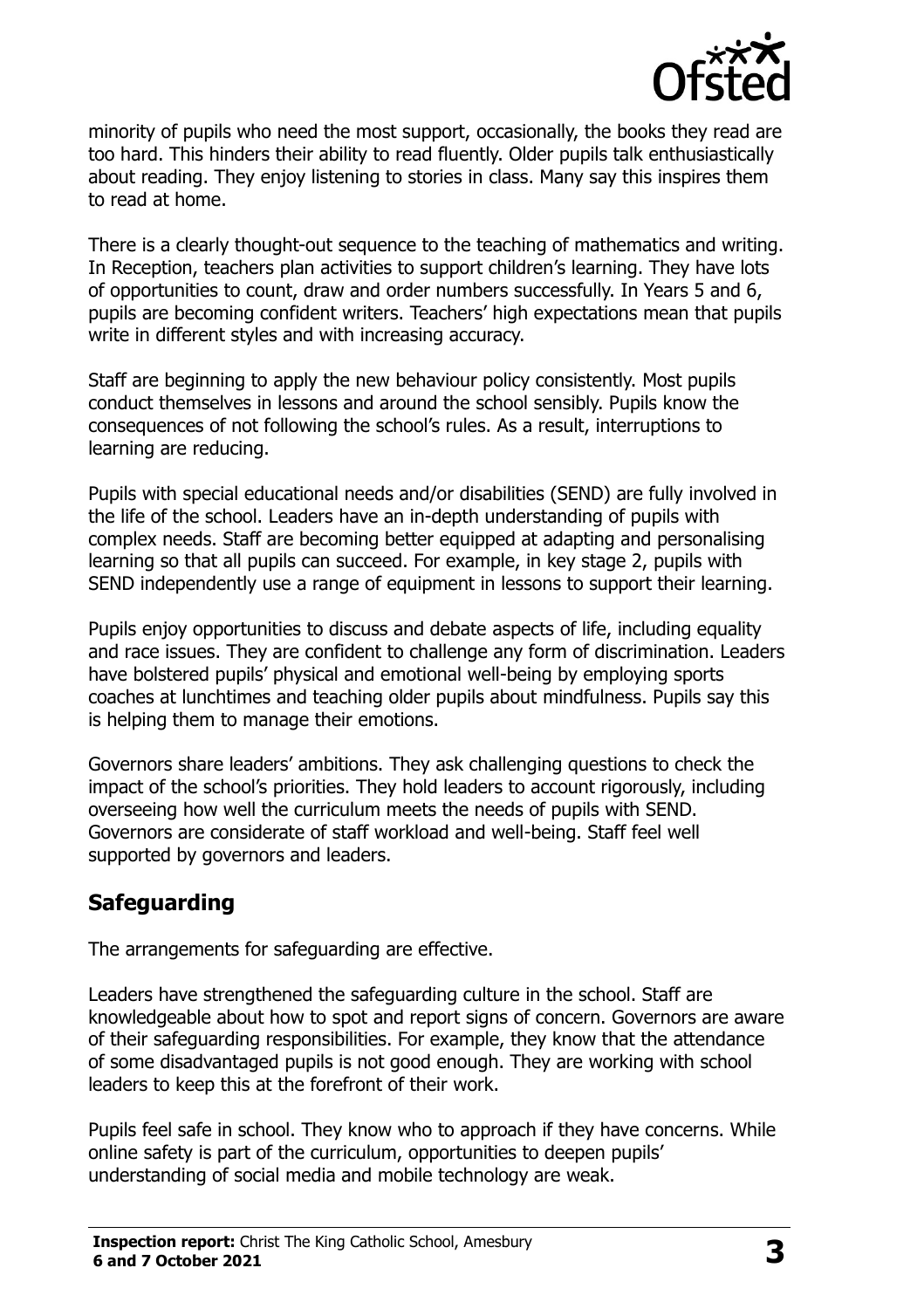

minority of pupils who need the most support, occasionally, the books they read are too hard. This hinders their ability to read fluently. Older pupils talk enthusiastically about reading. They enjoy listening to stories in class. Many say this inspires them to read at home.

There is a clearly thought-out sequence to the teaching of mathematics and writing. In Reception, teachers plan activities to support children's learning. They have lots of opportunities to count, draw and order numbers successfully. In Years 5 and 6, pupils are becoming confident writers. Teachers' high expectations mean that pupils write in different styles and with increasing accuracy.

Staff are beginning to apply the new behaviour policy consistently. Most pupils conduct themselves in lessons and around the school sensibly. Pupils know the consequences of not following the school's rules. As a result, interruptions to learning are reducing.

Pupils with special educational needs and/or disabilities (SEND) are fully involved in the life of the school. Leaders have an in-depth understanding of pupils with complex needs. Staff are becoming better equipped at adapting and personalising learning so that all pupils can succeed. For example, in key stage 2, pupils with SEND independently use a range of equipment in lessons to support their learning.

Pupils enjoy opportunities to discuss and debate aspects of life, including equality and race issues. They are confident to challenge any form of discrimination. Leaders have bolstered pupils' physical and emotional well-being by employing sports coaches at lunchtimes and teaching older pupils about mindfulness. Pupils say this is helping them to manage their emotions.

Governors share leaders' ambitions. They ask challenging questions to check the impact of the school's priorities. They hold leaders to account rigorously, including overseeing how well the curriculum meets the needs of pupils with SEND. Governors are considerate of staff workload and well-being. Staff feel well supported by governors and leaders.

## **Safeguarding**

The arrangements for safeguarding are effective.

Leaders have strengthened the safeguarding culture in the school. Staff are knowledgeable about how to spot and report signs of concern. Governors are aware of their safeguarding responsibilities. For example, they know that the attendance of some disadvantaged pupils is not good enough. They are working with school leaders to keep this at the forefront of their work.

Pupils feel safe in school. They know who to approach if they have concerns. While online safety is part of the curriculum, opportunities to deepen pupils' understanding of social media and mobile technology are weak.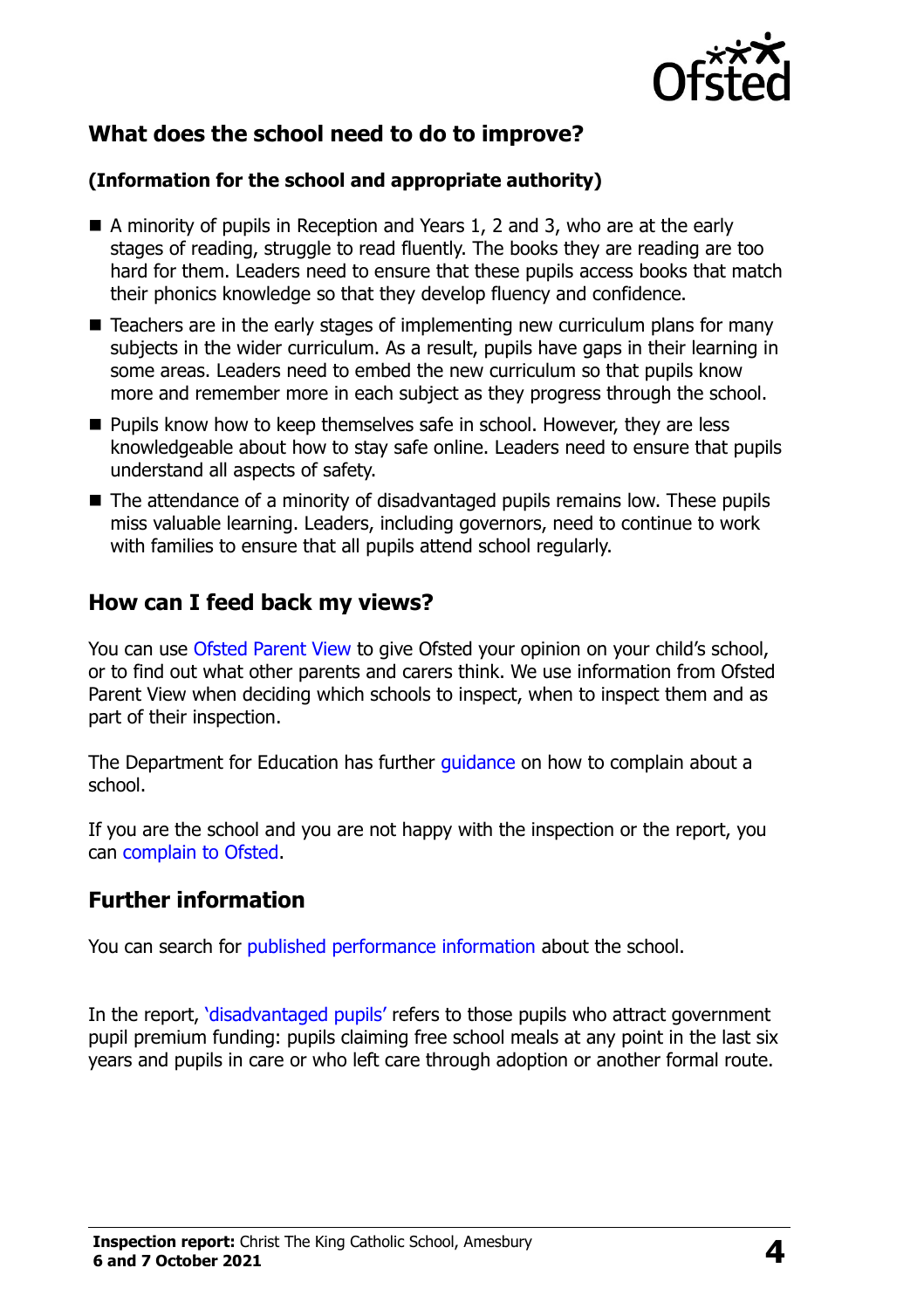

# **What does the school need to do to improve?**

#### **(Information for the school and appropriate authority)**

- A minority of pupils in Reception and Years 1, 2 and 3, who are at the early stages of reading, struggle to read fluently. The books they are reading are too hard for them. Leaders need to ensure that these pupils access books that match their phonics knowledge so that they develop fluency and confidence.
- Teachers are in the early stages of implementing new curriculum plans for many subjects in the wider curriculum. As a result, pupils have gaps in their learning in some areas. Leaders need to embed the new curriculum so that pupils know more and remember more in each subject as they progress through the school.
- **Pupils know how to keep themselves safe in school. However, they are less** knowledgeable about how to stay safe online. Leaders need to ensure that pupils understand all aspects of safety.
- The attendance of a minority of disadvantaged pupils remains low. These pupils miss valuable learning. Leaders, including governors, need to continue to work with families to ensure that all pupils attend school regularly.

#### **How can I feed back my views?**

You can use [Ofsted Parent View](http://parentview.ofsted.gov.uk/) to give Ofsted your opinion on your child's school, or to find out what other parents and carers think. We use information from Ofsted Parent View when deciding which schools to inspect, when to inspect them and as part of their inspection.

The Department for Education has further *quidance* on how to complain about a school.

If you are the school and you are not happy with the inspection or the report, you can [complain to Ofsted.](http://www.gov.uk/complain-ofsted-report)

#### **Further information**

You can search for [published performance information](http://www.compare-school-performance.service.gov.uk/) about the school.

In the report, '[disadvantaged pupils](http://www.gov.uk/guidance/pupil-premium-information-for-schools-and-alternative-provision-settings)' refers to those pupils who attract government pupil premium funding: pupils claiming free school meals at any point in the last six years and pupils in care or who left care through adoption or another formal route.

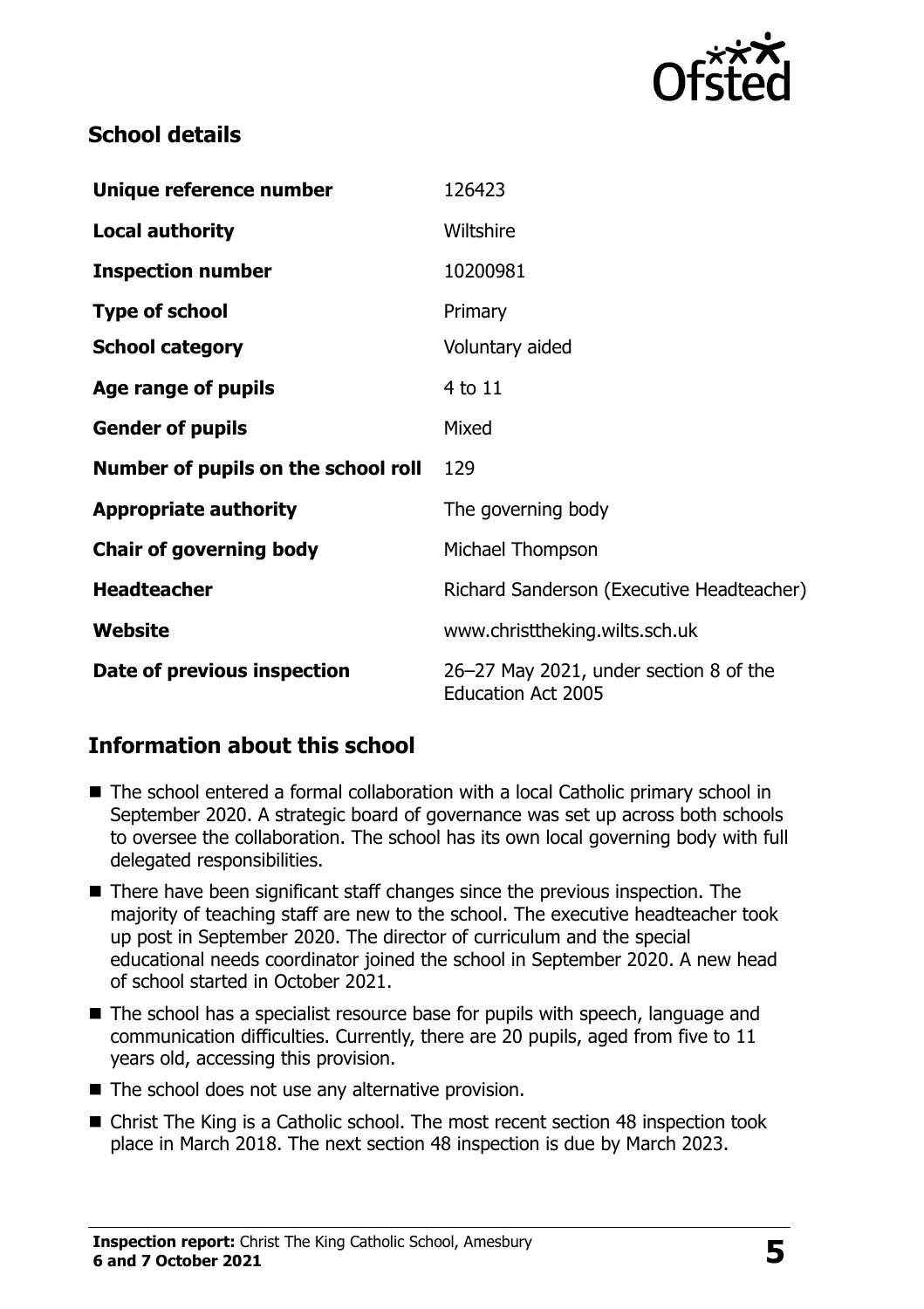

#### **School details**

| Unique reference number             | 126423                                                              |
|-------------------------------------|---------------------------------------------------------------------|
| <b>Local authority</b>              | Wiltshire                                                           |
| <b>Inspection number</b>            | 10200981                                                            |
| <b>Type of school</b>               | Primary                                                             |
| <b>School category</b>              | Voluntary aided                                                     |
| Age range of pupils                 | 4 to 11                                                             |
| <b>Gender of pupils</b>             | Mixed                                                               |
| Number of pupils on the school roll | 129                                                                 |
| <b>Appropriate authority</b>        | The governing body                                                  |
| <b>Chair of governing body</b>      | Michael Thompson                                                    |
| <b>Headteacher</b>                  | Richard Sanderson (Executive Headteacher)                           |
| Website                             | www.christtheking.wilts.sch.uk                                      |
| Date of previous inspection         | 26-27 May 2021, under section 8 of the<br><b>Education Act 2005</b> |

## **Information about this school**

- The school entered a formal collaboration with a local Catholic primary school in September 2020. A strategic board of governance was set up across both schools to oversee the collaboration. The school has its own local governing body with full delegated responsibilities.
- There have been significant staff changes since the previous inspection. The majority of teaching staff are new to the school. The executive headteacher took up post in September 2020. The director of curriculum and the special educational needs coordinator joined the school in September 2020. A new head of school started in October 2021.
- The school has a specialist resource base for pupils with speech, language and communication difficulties. Currently, there are 20 pupils, aged from five to 11 years old, accessing this provision.
- The school does not use any alternative provision.
- Christ The King is a Catholic school. The most recent section 48 inspection took place in March 2018. The next section 48 inspection is due by March 2023.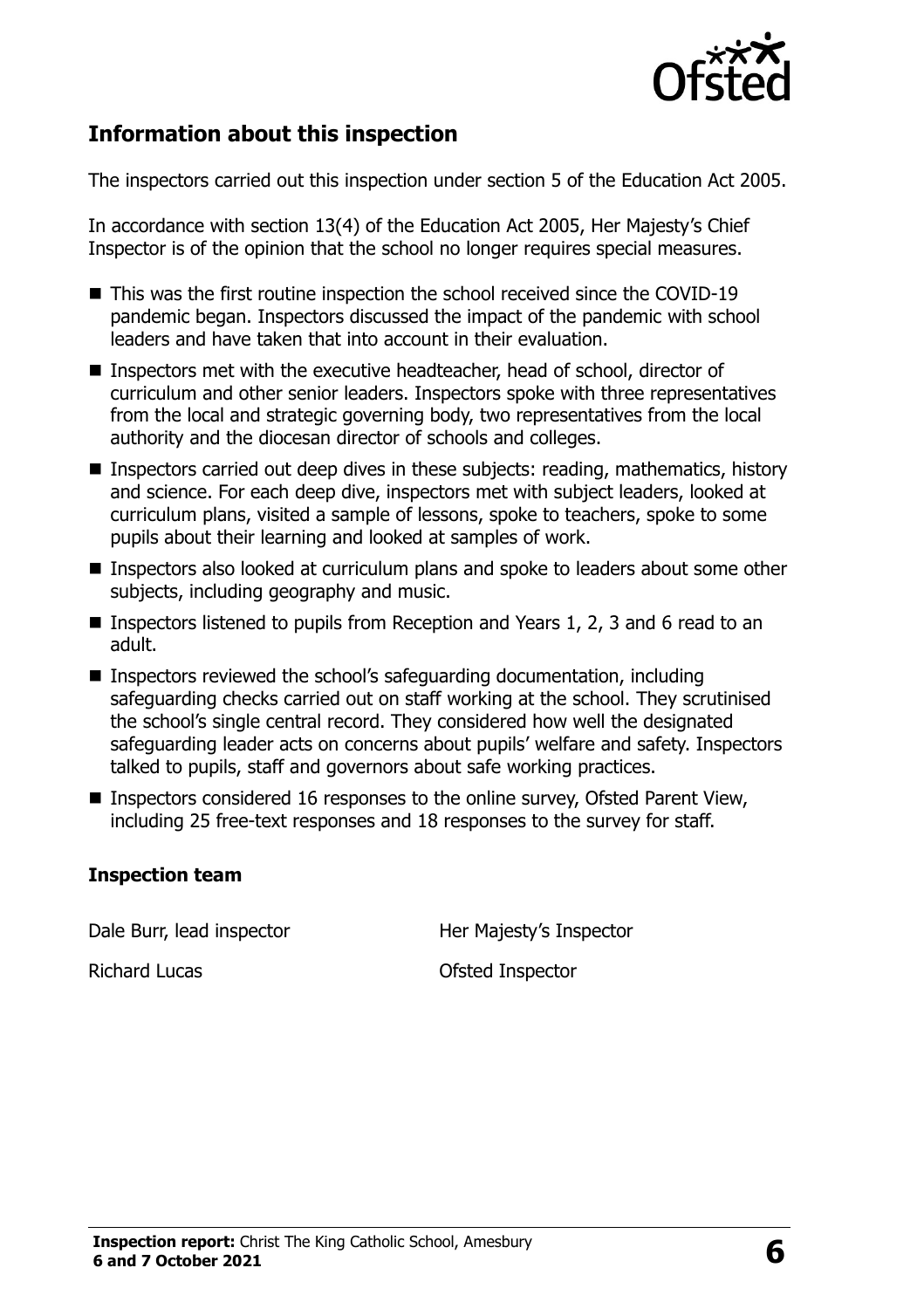

#### **Information about this inspection**

The inspectors carried out this inspection under section 5 of the Education Act 2005.

In accordance with section 13(4) of the Education Act 2005, Her Majesty's Chief Inspector is of the opinion that the school no longer requires special measures.

- This was the first routine inspection the school received since the COVID-19 pandemic began. Inspectors discussed the impact of the pandemic with school leaders and have taken that into account in their evaluation.
- Inspectors met with the executive headteacher, head of school, director of curriculum and other senior leaders. Inspectors spoke with three representatives from the local and strategic governing body, two representatives from the local authority and the diocesan director of schools and colleges.
- Inspectors carried out deep dives in these subjects: reading, mathematics, history and science. For each deep dive, inspectors met with subject leaders, looked at curriculum plans, visited a sample of lessons, spoke to teachers, spoke to some pupils about their learning and looked at samples of work.
- Inspectors also looked at curriculum plans and spoke to leaders about some other subjects, including geography and music.
- **Inspectors listened to pupils from Reception and Years 1, 2, 3 and 6 read to an** adult.
- Inspectors reviewed the school's safeguarding documentation, including safeguarding checks carried out on staff working at the school. They scrutinised the school's single central record. They considered how well the designated safeguarding leader acts on concerns about pupils' welfare and safety. Inspectors talked to pupils, staff and governors about safe working practices.
- Inspectors considered 16 responses to the online survey, Ofsted Parent View, including 25 free-text responses and 18 responses to the survey for staff.

#### **Inspection team**

Dale Burr, lead inspector and Her Majesty's Inspector

Richard Lucas **Ofsted Inspector**